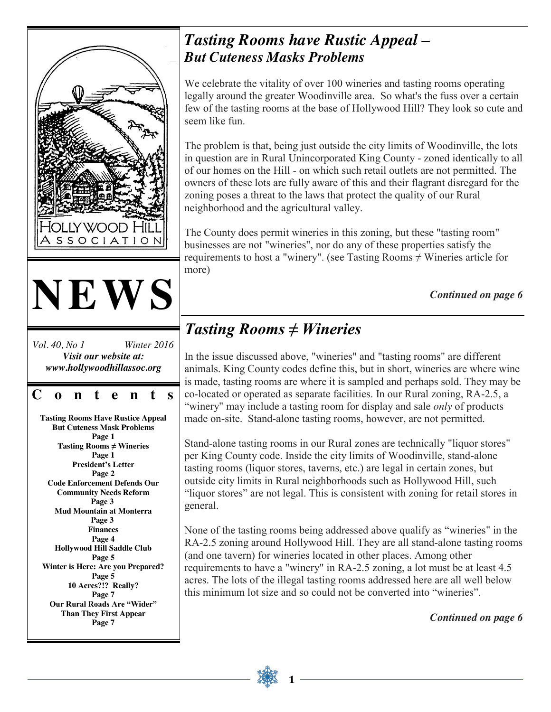

**Page 7**

*Tasting Rooms have Rustic Appeal – But Cuteness Masks Problems*

We celebrate the vitality of over 100 wineries and tasting rooms operating legally around the greater Woodinville area. So what's the fuss over a certain few of the tasting rooms at the base of Hollywood Hill? They look so cute and

The problem is that, being just outside the city limits of Woodinville, the lots in question are in Rural Unincorporated King County - zoned identically to all of our homes on the Hill - on which such retail outlets are not permitted. The owners of these lots are fully aware of this and their flagrant disregard for the zoning poses a threat to the laws that protect the quality of our Rural neighborhood and the agricultural valley.

The County does permit wineries in this zoning, but these "tasting room" businesses are not "wineries", nor do any of these properties satisfy the requirements to host a "winery". (see Tasting Rooms  $\neq$  Wineries article for

*Continued on page 6*

# *Tasting Rooms ≠ Wineries*

In the issue discussed above, "wineries" and "tasting rooms" are different animals. King County codes define this, but in short, wineries are where wine is made, tasting rooms are where it is sampled and perhaps sold. They may be co-located or operated as separate facilities. In our Rural zoning, RA-2.5, a "winery" may include a tasting room for display and sale *only* of products made on-site. Stand-alone tasting rooms, however, are not permitted.

Stand-alone tasting rooms in our Rural zones are technically "liquor stores" per King County code. Inside the city limits of Woodinville, stand-alone tasting rooms (liquor stores, taverns, etc.) are legal in certain zones, but outside city limits in Rural neighborhoods such as Hollywood Hill, such "liquor stores" are not legal. This is consistent with zoning for retail stores in

None of the tasting rooms being addressed above qualify as "wineries" in the RA-2.5 zoning around Hollywood Hill. They are all stand-alone tasting rooms (and one tavern) for wineries located in other places. Among other requirements to have a "winery" in RA-2.5 zoning, a lot must be at least 4.5 acres. The lots of the illegal tasting rooms addressed here are all well below this minimum lot size and so could not be converted into "wineries".

*Continued on page 6*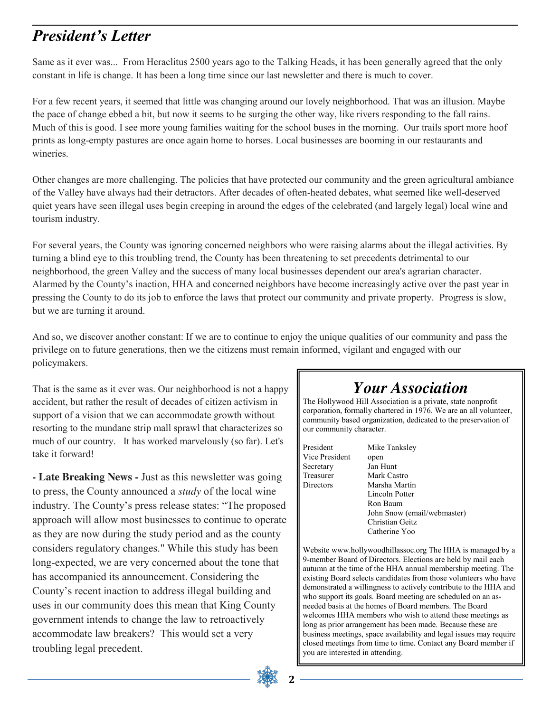### *President's Letter*

Same as it ever was... From Heraclitus 2500 years ago to the Talking Heads, it has been generally agreed that the only constant in life is change. It has been a long time since our last newsletter and there is much to cover.

For a few recent years, it seemed that little was changing around our lovely neighborhood. That was an illusion. Maybe the pace of change ebbed a bit, but now it seems to be surging the other way, like rivers responding to the fall rains. Much of this is good. I see more young families waiting for the school buses in the morning. Our trails sport more hoof prints as long-empty pastures are once again home to horses. Local businesses are booming in our restaurants and wineries.

Other changes are more challenging. The policies that have protected our community and the green agricultural ambiance of the Valley have always had their detractors. After decades of often-heated debates, what seemed like well-deserved quiet years have seen illegal uses begin creeping in around the edges of the celebrated (and largely legal) local wine and tourism industry.

For several years, the County was ignoring concerned neighbors who were raising alarms about the illegal activities. By turning a blind eye to this troubling trend, the County has been threatening to set precedents detrimental to our neighborhood, the green Valley and the success of many local businesses dependent our area's agrarian character. Alarmed by the County's inaction, HHA and concerned neighbors have become increasingly active over the past year in pressing the County to do its job to enforce the laws that protect our community and private property. Progress is slow, but we are turning it around.

And so, we discover another constant: If we are to continue to enjoy the unique qualities of our community and pass the privilege on to future generations, then we the citizens must remain informed, vigilant and engaged with our policymakers.

That is the same as it ever was. Our neighborhood is not a happy accident, but rather the result of decades of citizen activism in support of a vision that we can accommodate growth without resorting to the mundane strip mall sprawl that characterizes so much of our country. It has worked marvelously (so far). Let's take it forward!

**- Late Breaking News -** Just as this newsletter was going to press, the County announced a *study* of the local wine industry. The County's press release states: "The proposed approach will allow most businesses to continue to operate as they are now during the study period and as the county considers regulatory changes." While this study has been long-expected, we are very concerned about the tone that has accompanied its announcement. Considering the County's recent inaction to address illegal building and uses in our community does this mean that King County government intends to change the law to retroactively accommodate law breakers? This would set a very troubling legal precedent.

### *Your Association*

The Hollywood Hill Association is a private, state nonprofit corporation, formally chartered in 1976. We are an all volunteer, community based organization, dedicated to the preservation of our community character.

President Mike Tanksley Vice President open Secretary Jan Hunt Treasurer Mark Castro Directors Marsha Martin

Lincoln Potter Ron Baum John Snow (email/webmaster) Christian Geitz Catherine Yoo

Website www.hollywoodhillassoc.org The HHA is managed by a 9-member Board of Directors. Elections are held by mail each autumn at the time of the HHA annual membership meeting. The existing Board selects candidates from those volunteers who have demonstrated a willingness to actively contribute to the HHA and who support its goals. Board meeting are scheduled on an asneeded basis at the homes of Board members. The Board welcomes HHA members who wish to attend these meetings as long as prior arrangement has been made. Because these are business meetings, space availability and legal issues may require closed meetings from time to time. Contact any Board member if you are interested in attending.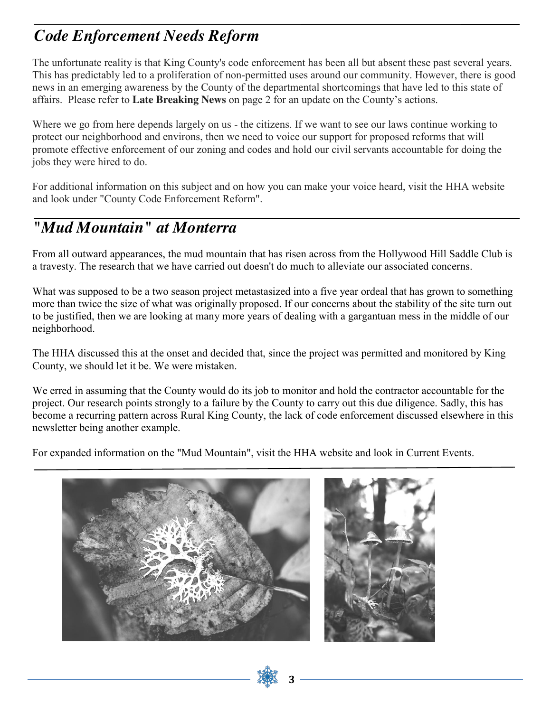### *Code Enforcement Needs Reform*

The unfortunate reality is that King County's code enforcement has been all but absent these past several years. This has predictably led to a proliferation of non-permitted uses around our community. However, there is good news in an emerging awareness by the County of the departmental shortcomings that have led to this state of affairs. Please refer to **Late Breaking News** on page 2 for an update on the County's actions.

Where we go from here depends largely on us - the citizens. If we want to see our laws continue working to protect our neighborhood and environs, then we need to voice our support for proposed reforms that will promote effective enforcement of our zoning and codes and hold our civil servants accountable for doing the jobs they were hired to do.

For additional information on this subject and on how you can make your voice heard, visit the HHA website and look under "County Code Enforcement Reform".

### *"Mud Mountain" at Monterra*

From all outward appearances, the mud mountain that has risen across from the Hollywood Hill Saddle Club is a travesty. The research that we have carried out doesn't do much to alleviate our associated concerns.

What was supposed to be a two season project metastasized into a five year ordeal that has grown to something more than twice the size of what was originally proposed. If our concerns about the stability of the site turn out to be justified, then we are looking at many more years of dealing with a gargantuan mess in the middle of our neighborhood.

The HHA discussed this at the onset and decided that, since the project was permitted and monitored by King County, we should let it be. We were mistaken.

We erred in assuming that the County would do its job to monitor and hold the contractor accountable for the project. Our research points strongly to a failure by the County to carry out this due diligence. Sadly, this has become a recurring pattern across Rural King County, the lack of code enforcement discussed elsewhere in this newsletter being another example.

For expanded information on the "Mud Mountain", visit the HHA website and look in Current Events.

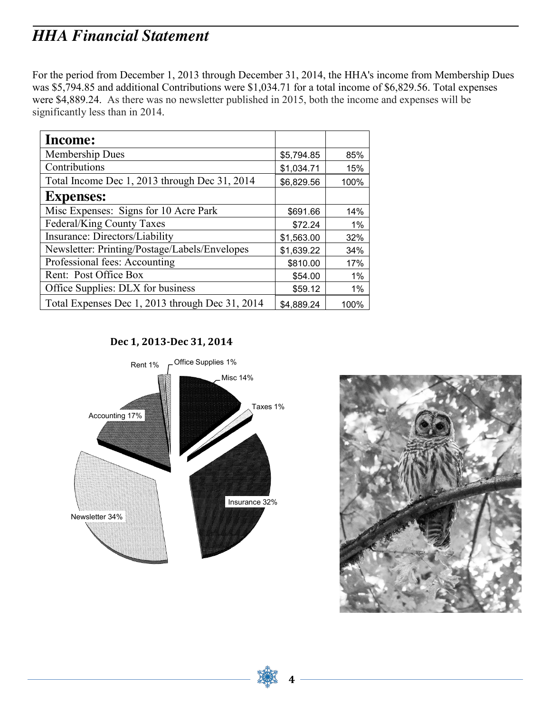### *HHA Financial Statement*

For the period from December 1, 2013 through December 31, 2014, the HHA's income from Membership Dues was \$5,794.85 and additional Contributions were \$1,034.71 for a total income of \$6,829.56. Total expenses were \$4,889.24. As there was no newsletter published in 2015, both the income and expenses will be significantly less than in 2014.

| Income:                                         |            |       |
|-------------------------------------------------|------------|-------|
| Membership Dues                                 | \$5,794.85 | 85%   |
| Contributions                                   | \$1,034.71 | 15%   |
| Total Income Dec 1, 2013 through Dec 31, 2014   | \$6,829.56 | 100%  |
| <b>Expenses:</b>                                |            |       |
| Misc Expenses: Signs for 10 Acre Park           | \$691.66   | 14%   |
| Federal/King County Taxes                       | \$72.24    | $1\%$ |
| Insurance: Directors/Liability                  | \$1,563.00 | 32%   |
| Newsletter: Printing/Postage/Labels/Envelopes   | \$1,639.22 | 34%   |
| Professional fees: Accounting                   | \$810.00   | 17%   |
| Rent: Post Office Box                           | \$54.00    | $1\%$ |
| Office Supplies: DLX for business               | \$59.12    | 1%    |
| Total Expenses Dec 1, 2013 through Dec 31, 2014 | \$4,889.24 | 100%  |

**Dec 1, 2013-Dec 31, 2014**



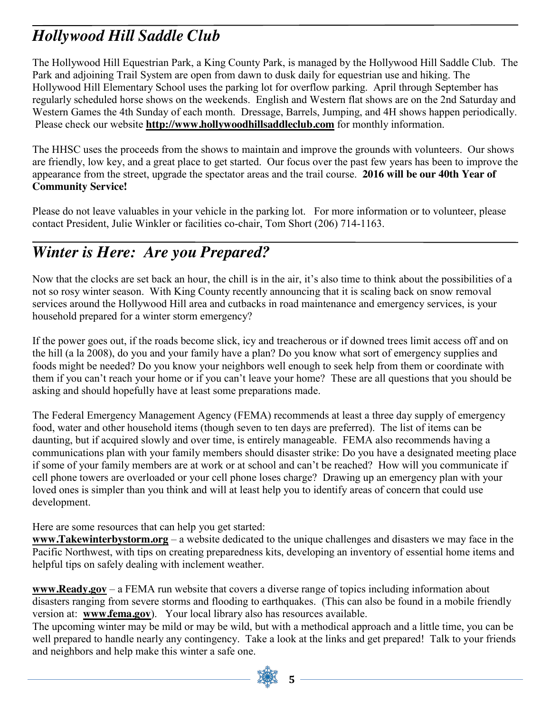## *Hollywood Hill Saddle Club*

The Hollywood Hill Equestrian Park, a King County Park, is managed by the Hollywood Hill Saddle Club. The Park and adjoining Trail System are open from dawn to dusk daily for equestrian use and hiking. The Hollywood Hill Elementary School uses the parking lot for overflow parking. April through September has regularly scheduled horse shows on the weekends. English and Western flat shows are on the 2nd Saturday and Western Games the 4th Sunday of each month. Dressage, Barrels, Jumping, and 4H shows happen periodically. Please check our website **[http://www.hollywoodhillsaddleclub.com](http://www.hollywoodhillsaddleclub.com/)** for monthly information.

The HHSC uses the proceeds from the shows to maintain and improve the grounds with volunteers. Our shows are friendly, low key, and a great place to get started. Our focus over the past few years has been to improve the appearance from the street, upgrade the spectator areas and the trail course. **2016 will be our 40th Year of Community Service!**

Please do not leave valuables in your vehicle in the parking lot. For more information or to volunteer, please contact President, Julie Winkler or facilities co-chair, Tom Short [\(206\) 714-1163.](tel:206-714-1163)

## *Winter is Here: Are you Prepared?*

Now that the clocks are set back an hour, the chill is in the air, it's also time to think about the possibilities of a not so rosy winter season. With King County recently announcing that it is scaling back on snow removal services around the Hollywood Hill area and cutbacks in road maintenance and emergency services, is your household prepared for a winter storm emergency?

If the power goes out, if the roads become slick, icy and treacherous or if downed trees limit access off and on the hill (a la 2008), do you and your family have a plan? Do you know what sort of emergency supplies and foods might be needed? Do you know your neighbors well enough to seek help from them or coordinate with them if you can't reach your home or if you can't leave your home? These are all questions that you should be asking and should hopefully have at least some preparations made.

The Federal Emergency Management Agency (FEMA) recommends at least a three day supply of emergency food, water and other household items (though seven to ten days are preferred). The list of items can be daunting, but if acquired slowly and over time, is entirely manageable. FEMA also recommends having a communications plan with your family members should disaster strike: Do you have a designated meeting place if some of your family members are at work or at school and can't be reached? How will you communicate if cell phone towers are overloaded or your cell phone loses charge? Drawing up an emergency plan with your loved ones is simpler than you think and will at least help you to identify areas of concern that could use development.

Here are some resources that can help you get started:

**www.Takewinterbystorm.org** – a website dedicated to the unique challenges and disasters we may face in the Pacific Northwest, with tips on creating preparedness kits, developing an inventory of essential home items and helpful tips on safely dealing with inclement weather.

**www.Ready.gov** – a FEMA run website that covers a diverse range of topics including information about disasters ranging from severe storms and flooding to earthquakes. (This can also be found in a mobile friendly version at: **www.fema.gov**). Your local library also has resources available.

The upcoming winter may be mild or may be wild, but with a methodical approach and a little time, you can be well prepared to handle nearly any contingency. Take a look at the links and get prepared! Talk to your friends and neighbors and help make this winter a safe one.

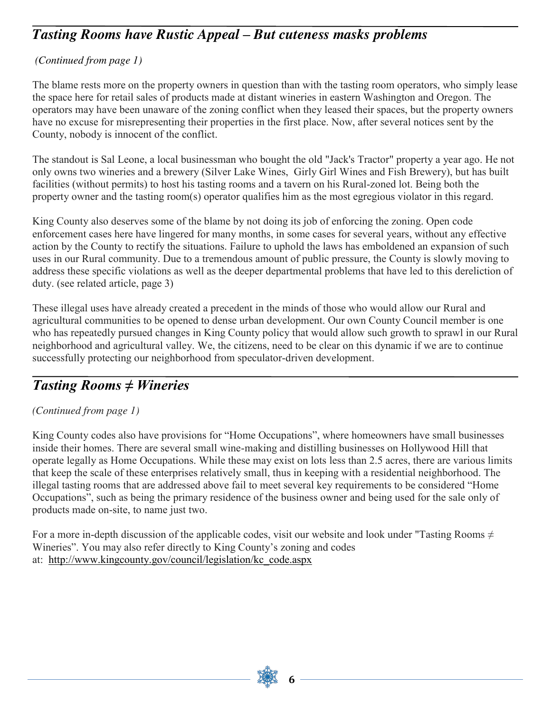#### *Tasting Rooms have Rustic Appeal – But cuteness masks problems*

#### *(Continued from page 1)*

The blame rests more on the property owners in question than with the tasting room operators, who simply lease the space here for retail sales of products made at distant wineries in eastern Washington and Oregon. The operators may have been unaware of the zoning conflict when they leased their spaces, but the property owners have no excuse for misrepresenting their properties in the first place. Now, after several notices sent by the County, nobody is innocent of the conflict.

The standout is Sal Leone, a local businessman who bought the old "Jack's Tractor" property a year ago. He not only owns two wineries and a brewery (Silver Lake Wines, Girly Girl Wines and Fish Brewery), but has built facilities (without permits) to host his tasting rooms and a tavern on his Rural-zoned lot. Being both the property owner and the tasting room(s) operator qualifies him as the most egregious violator in this regard.

King County also deserves some of the blame by not doing its job of enforcing the zoning. Open code enforcement cases here have lingered for many months, in some cases for several years, without any effective action by the County to rectify the situations. Failure to uphold the laws has emboldened an expansion of such uses in our Rural community. Due to a tremendous amount of public pressure, the County is slowly moving to address these specific violations as well as the deeper departmental problems that have led to this dereliction of duty. (see related article, page 3)

These illegal uses have already created a precedent in the minds of those who would allow our Rural and agricultural communities to be opened to dense urban development. Our own County Council member is one who has repeatedly pursued changes in King County policy that would allow such growth to sprawl in our Rural neighborhood and agricultural valley. We, the citizens, need to be clear on this dynamic if we are to continue successfully protecting our neighborhood from speculator-driven development.

#### *Tasting Rooms ≠ Wineries*

#### *(Continued from page 1)*

King County codes also have provisions for "Home Occupations", where homeowners have small businesses inside their homes. There are several small wine-making and distilling businesses on Hollywood Hill that operate legally as Home Occupations. While these may exist on lots less than 2.5 acres, there are various limits that keep the scale of these enterprises relatively small, thus in keeping with a residential neighborhood. The illegal tasting rooms that are addressed above fail to meet several key requirements to be considered "Home Occupations", such as being the primary residence of the business owner and being used for the sale only of products made on-site, to name just two.

For a more in-depth discussion of the applicable codes, visit our website and look under "Tasting Rooms  $\neq$ Wineries". You may also refer directly to King County's zoning and codes at: [http://www.kingcounty.gov/council/legislation/kc\\_code.aspx](http://www.kingcounty.gov/council/legislation/kc_code.aspx)

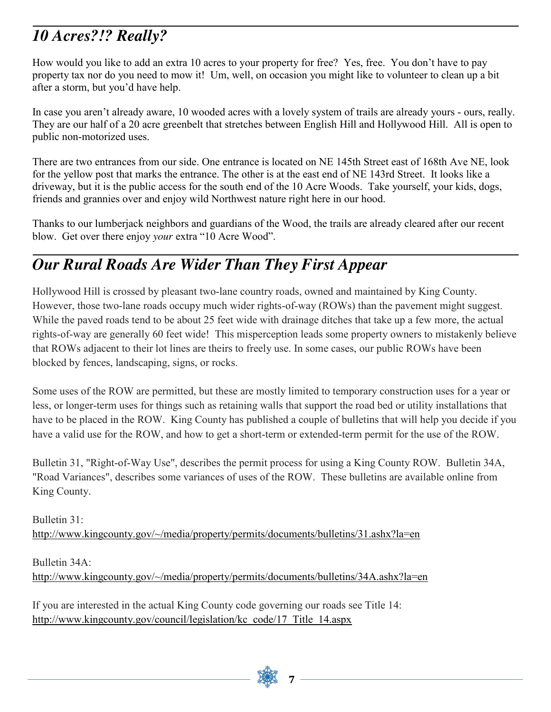## *10 Acres?!? Really?*

How would you like to add an extra 10 acres to your property for free? Yes, free. You don't have to pay property tax nor do you need to mow it! Um, well, on occasion you might like to volunteer to clean up a bit after a storm, but you'd have help.

In case you aren't already aware, 10 wooded acres with a lovely system of trails are already yours - ours, really. They are our half of a 20 acre greenbelt that stretches between English Hill and Hollywood Hill. All is open to public non-motorized uses.

There are two entrances from our side. One entrance is located on NE 145th Street east of 168th Ave NE, look for the yellow post that marks the entrance. The other is at the east end of NE 143rd Street. It looks like a driveway, but it is the public access for the south end of the 10 Acre Woods. Take yourself, your kids, dogs, friends and grannies over and enjoy wild Northwest nature right here in our hood.

Thanks to our lumberjack neighbors and guardians of the Wood, the trails are already cleared after our recent blow. Get over there enjoy *your* extra "10 Acre Wood".

## *Our Rural Roads Are Wider Than They First Appear*

Hollywood Hill is crossed by pleasant two-lane country roads, owned and maintained by King County. However, those two-lane roads occupy much wider rights-of-way (ROWs) than the pavement might suggest. While the paved roads tend to be about 25 feet wide with drainage ditches that take up a few more, the actual rights-of-way are generally 60 feet wide! This misperception leads some property owners to mistakenly believe that ROWs adjacent to their lot lines are theirs to freely use. In some cases, our public ROWs have been blocked by fences, landscaping, signs, or rocks.

Some uses of the ROW are permitted, but these are mostly limited to temporary construction uses for a year or less, or longer-term uses for things such as retaining walls that support the road bed or utility installations that have to be placed in the ROW. King County has published a couple of bulletins that will help you decide if you have a valid use for the ROW, and how to get a short-term or extended-term permit for the use of the ROW.

Bulletin 31, "Right-of-Way Use", describes the permit process for using a King County ROW. Bulletin 34A, "Road Variances", describes some variances of uses of the ROW. These bulletins are available online from King County.

Bulletin 31: <http://www.kingcounty.gov/~/media/property/permits/documents/bulletins/31.ashx?la=en>

Bulletin 34A: <http://www.kingcounty.gov/~/media/property/permits/documents/bulletins/34A.ashx?la=en>

If you are interested in the actual King County code governing our roads see Title 14: [http://www.kingcounty.gov/council/legislation/kc\\_code/17\\_Title\\_14.aspx](http://www.kingcounty.gov/council/legislation/kc_code/17_Title_14.aspx)